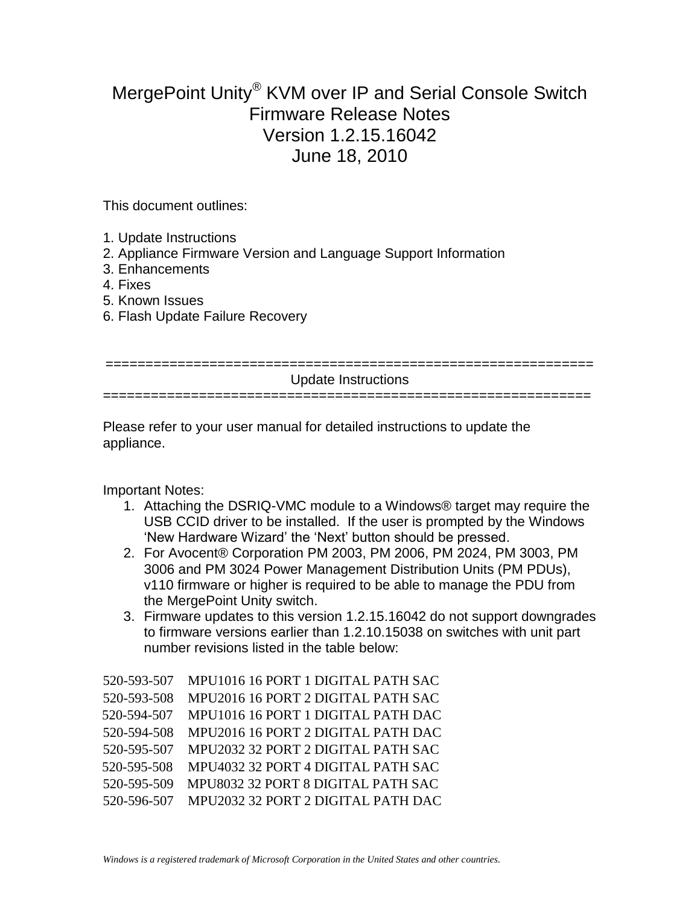## MergePoint Unity® KVM over IP and Serial Console Switch Firmware Release Notes Version 1.2.15.16042 June 18, 2010

This document outlines:

- 1. Update Instructions
- 2. Appliance Firmware Version and Language Support Information
- 3. Enhancements
- 4. Fixes
- 5. Known Issues
- 6. Flash Update Failure Recovery

| Update Instructions |
|---------------------|
|                     |
|                     |

Please refer to your user manual for detailed instructions to update the appliance.

Important Notes:

- 1. Attaching the DSRIQ-VMC module to a Windows® target may require the USB CCID driver to be installed. If the user is prompted by the Windows "New Hardware Wizard" the "Next" button should be pressed.
- 2. For Avocent® Corporation PM 2003, PM 2006, PM 2024, PM 3003, PM 3006 and PM 3024 Power Management Distribution Units (PM PDUs), v110 firmware or higher is required to be able to manage the PDU from the MergePoint Unity switch.
- 3. Firmware updates to this version 1.2.15.16042 do not support downgrades to firmware versions earlier than 1.2.10.15038 on switches with unit part number revisions listed in the table below:

| 520-593-507 | MPU1016 16 PORT 1 DIGITAL PATH SAC |
|-------------|------------------------------------|
| 520-593-508 | MPU2016 16 PORT 2 DIGITAL PATH SAC |
| 520-594-507 | MPU1016 16 PORT 1 DIGITAL PATH DAC |
| 520-594-508 | MPU2016 16 PORT 2 DIGITAL PATH DAC |
| 520-595-507 | MPU2032 32 PORT 2 DIGITAL PATH SAC |
| 520-595-508 | MPU4032 32 PORT 4 DIGITAL PATH SAC |
| 520-595-509 | MPU8032 32 PORT 8 DIGITAL PATH SAC |
| 520-596-507 | MPU2032 32 PORT 2 DIGITAL PATH DAC |
|             |                                    |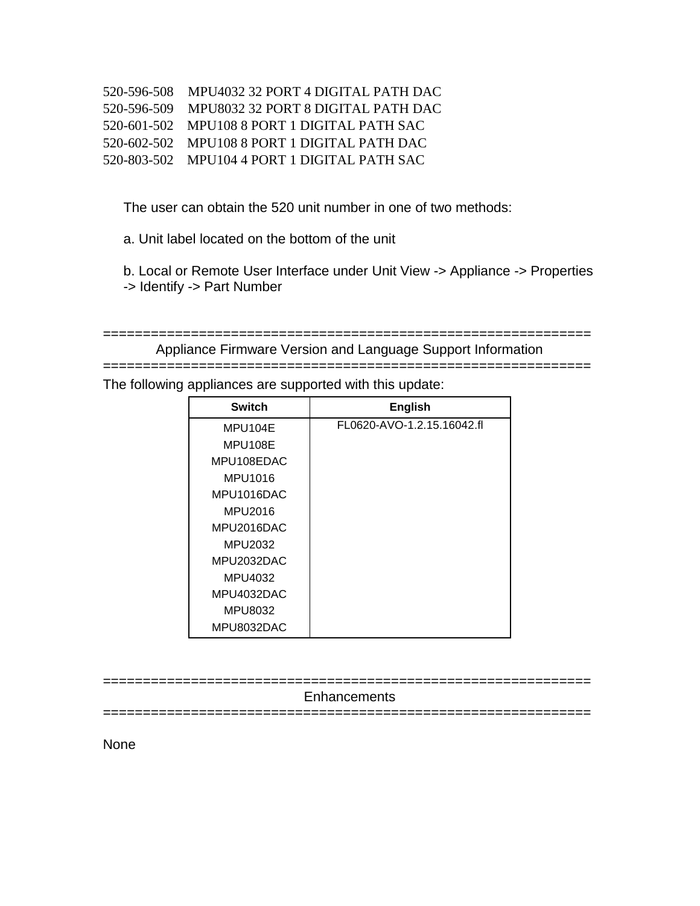| 520-596-508 MPU4032 32 PORT 4 DIGITAL PATH DAC |
|------------------------------------------------|
| 520-596-509 MPU8032 32 PORT 8 DIGITAL PATH DAC |
| 520-601-502 MPU108 8 PORT 1 DIGITAL PATH SAC   |
| 520-602-502 MPU108 8 PORT 1 DIGITAL PATH DAC   |
| 520-803-502 MPU104 4 PORT 1 DIGITAL PATH SAC   |

The user can obtain the 520 unit number in one of two methods:

a. Unit label located on the bottom of the unit

b. Local or Remote User Interface under Unit View -> Appliance -> Properties -> Identify -> Part Number

| Appliance Firmware Version and Language Support Information |
|-------------------------------------------------------------|
|                                                             |

The following appliances are supported with this update:

| <b>Switch</b> | <b>English</b>             |
|---------------|----------------------------|
| MPU104E       | FL0620-AVO-1.2.15.16042.fl |
| MPU108E       |                            |
| MPU108EDAC    |                            |
| MPU1016       |                            |
| MPU1016DAC    |                            |
| MPU2016       |                            |
| MPU2016DAC    |                            |
| MPU2032       |                            |
| MPU2032DAC    |                            |
| MPU4032       |                            |
| MPU4032DAC    |                            |
| MPU8032       |                            |
| MPU8032DAC    |                            |

| Enhancements |
|--------------|
|              |

None